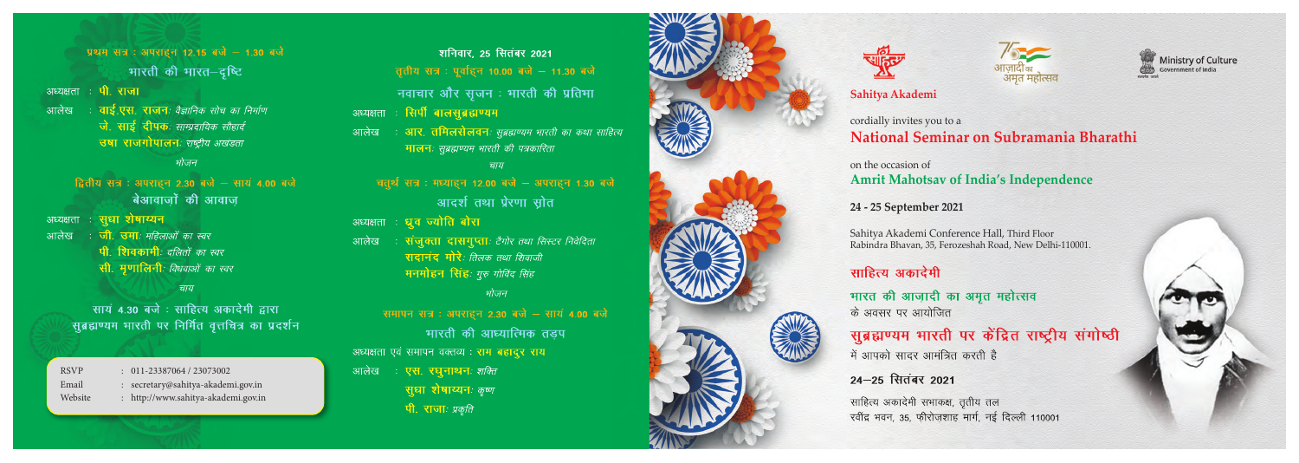प्रथम सत्र : अपराहन 12.15 बजे - 1.30 बजे भारती की भारत-दृष्टि अध्यक्षता : **पी. राजा** ः **वाई.एस. राजन**ः वैज्ञानिक सोच का निर्माण आलेख जे. साई दीपकः साम्प्रदायिक सौहार्द उषा राजगोपालनः राष्ट्रीय अखंडता भोजन द्वितीय सत्र : अपराहन 2.30 बजे - सायं 4.00 बजे बेआवाजों की आवाज अध्यक्षता : **सुधा शेषाय्यन** ः **जी. उमा**ः महिलाओं का स्वर आलेख

- पी शिवकामी: दलितों का स्वर
- सी. मुणालिनीः विधवाओं का स्वर

चाय

सायं 4.30 बजे : साहित्य अकादेमी द्वारा सूब्रह्मण्यम भारती पर निर्मित वृत्तचित्र का प्रदर्शन

## **Sahitya Akademi**

# cordially invites you to a **National Seminar on Subramania Bharathi**

# on the occasion of **Amrit Mahotsav of India's Independence**

## **24 - 25 September 2021**

Sahitya Akademi Conference Hall, Third Floor Rabindra Bhavan, 35, Ferozeshah Road, New Delhi-110001.

# साहित्य अकादेमी

भारत की आज़ादी का अमृत महोत्सव के अवसर पर आयोजित

# सूब्रह्मण्यम भारती पर केंद्रित राष्ट्रीय संगोष्ठी

में आपको सादर आमंत्रित करती है

# 24-25 सितंबर 2021

साहित्य अकादेमी सभाकक्ष, तृतीय तल रवींद्र भवन, 35, फीरोज़शाह मार्ग, नई दिल्ली 110001

- 
- RSVP : 011-23387064 / 23073002
- Email : secretary@sahitya-akademi.gov.in
- Website : http://www.sahitya-akademi.gov.in

# शनिवार. 25 सितंबर 2021

तृतीय सत्र : पूर्वाहन 10.00 बजे - 11.30 बजे

नवाचार और सृजन: भारती की प्रतिभा

- <del>सि</del>पी बालसुब्रह्मण्यम अध्यक्षता
- **आर. तमिलसेलवन**ः सुब्रह्मण्यम भारती का कथा साहित्य आलेख मालनः सुब्रह्मण्यम भारती की पत्रकारिता

### चाय

- चतुर्थ सत्र : मध्याहन 12.00 बजे अपराहन 1.30 बजे आदर्श तथा प्रेरणा स्रोत
- अध्यक्षता : **ध्रुव ज्योति बोरा**
- ः **संजुक्ता दासगुप्ता**ः टैगोर तथा सिस्टर निवेदिता आलेख सदानंद मोरे*: तिलक तथा शिवाजी* मनमोहन सिंह: गुरु गोविंद सिंह

#### भोजन

समापन सत्र : अपराहन 2.30 बजे - सायं 4.00 बजे भारती की आध्यात्मिक तडप अध्यक्षता एवं समापन वक्तव्य : राम बहादूर राय आलेख ः **एस. रघुनाथन**ः *शक्ति* **सुधा शेषाय्यन**ः कृष्ण पी. राजाः प्रकृति